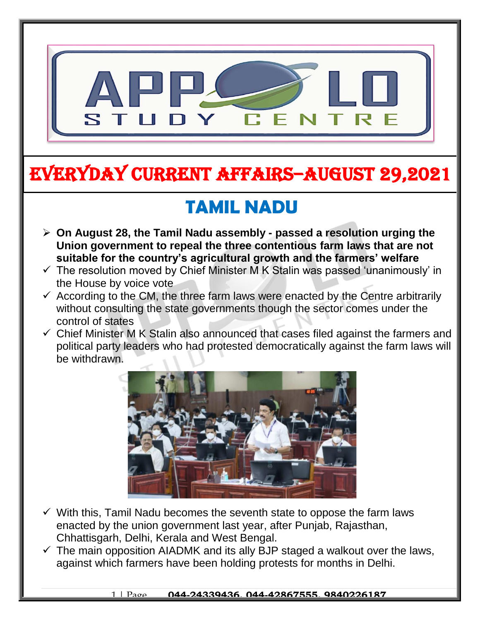

# EVERYDAY CURRENT AFFAIRS–AUGUST 29,2021

## **TAMIL NADU**

-

- **On August 28, the Tamil Nadu assembly - passed a resolution urging the Union government to repeal the three contentious farm laws that are not suitable for the country's agricultural growth and the farmers' welfare**
- $\checkmark$  The resolution moved by Chief Minister M K Stalin was passed 'unanimously' in the House by voice vote
- $\checkmark$  According to the CM, the three farm laws were enacted by the Centre arbitrarily without consulting the state governments though the sector comes under the control of states
- $\checkmark$  Chief Minister M K Stalin also announced that cases filed against the farmers and political party leaders who had protested democratically against the farm laws will be withdrawn.



- $\checkmark$  With this, Tamil Nadu becomes the seventh state to oppose the farm laws enacted by the union government last year, after Punjab, Rajasthan, Chhattisgarh, Delhi, Kerala and West Bengal.
- $\checkmark$  The main opposition AIADMK and its ally BJP staged a walkout over the laws, against which farmers have been holding protests for months in Delhi.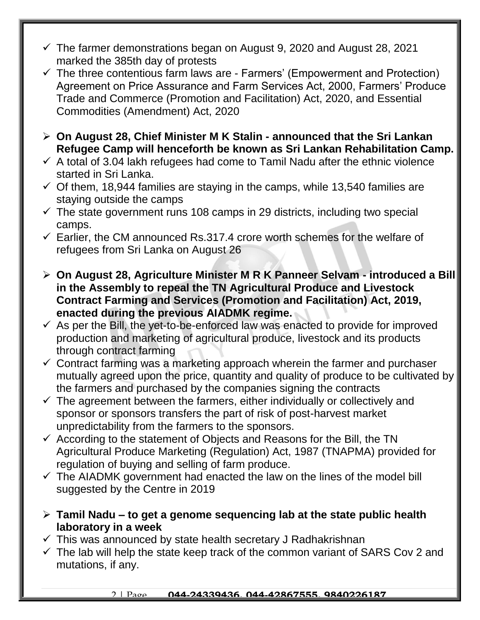- $\checkmark$  The farmer demonstrations began on August 9, 2020 and August 28, 2021 marked the 385th day of protests
- $\checkmark$  The three contentious farm laws are Farmers' (Empowerment and Protection) Agreement on Price Assurance and Farm Services Act, 2000, Farmers' Produce Trade and Commerce (Promotion and Facilitation) Act, 2020, and Essential Commodities (Amendment) Act, 2020
- **On August 28, Chief Minister M K Stalin - announced that the Sri Lankan Refugee Camp will henceforth be known as Sri Lankan Rehabilitation Camp.**
- $\checkmark$  A total of 3.04 lakh refugees had come to Tamil Nadu after the ethnic violence started in Sri Lanka.
- $\checkmark$  Of them, 18,944 families are staying in the camps, while 13,540 families are staying outside the camps
- $\checkmark$  The state government runs 108 camps in 29 districts, including two special camps.
- $\checkmark$  Earlier, the CM announced Rs.317.4 crore worth schemes for the welfare of refugees from Sri Lanka on August 26
- **On August 28, Agriculture Minister M R K Panneer Selvam - introduced a Bill in the Assembly to repeal the TN Agricultural Produce and Livestock Contract Farming and Services (Promotion and Facilitation) Act, 2019, enacted during the previous AIADMK regime.**
- $\checkmark$  As per the Bill, the yet-to-be-enforced law was enacted to provide for improved production and marketing of agricultural produce, livestock and its products through contract farming
- $\checkmark$  Contract farming was a marketing approach wherein the farmer and purchaser mutually agreed upon the price, quantity and quality of produce to be cultivated by the farmers and purchased by the companies signing the contracts
- $\checkmark$  The agreement between the farmers, either individually or collectively and sponsor or sponsors transfers the part of risk of post-harvest market unpredictability from the farmers to the sponsors.
- $\checkmark$  According to the statement of Objects and Reasons for the Bill, the TN Agricultural Produce Marketing (Regulation) Act, 1987 (TNAPMA) provided for regulation of buying and selling of farm produce.
- $\checkmark$  The AIADMK government had enacted the law on the lines of the model bill suggested by the Centre in 2019
- **Tamil Nadu – to get a genome sequencing lab at the state public health laboratory in a week**
- $\checkmark$  This was announced by state health secretary J Radhakrishnan
- $\checkmark$  The lab will help the state keep track of the common variant of SARS Cov 2 and mutations, if any.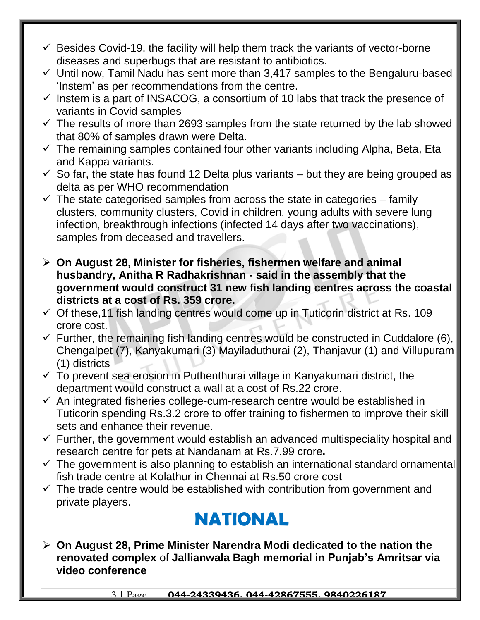- $\checkmark$  Besides Covid-19, the facility will help them track the variants of vector-borne diseases and superbugs that are resistant to antibiotics.
- $\checkmark$  Until now, Tamil Nadu has sent more than 3,417 samples to the Bengaluru-based 'Instem' as per recommendations from the centre.
- $\checkmark$  Instem is a part of INSACOG, a consortium of 10 labs that track the presence of variants in Covid samples
- $\checkmark$  The results of more than 2693 samples from the state returned by the lab showed that 80% of samples drawn were Delta.
- $\checkmark$  The remaining samples contained four other variants including Alpha, Beta, Eta and Kappa variants.
- $\checkmark$  So far, the state has found 12 Delta plus variants but they are being grouped as delta as per WHO recommendation
- $\checkmark$  The state categorised samples from across the state in categories family clusters, community clusters, Covid in children, young adults with severe lung infection, breakthrough infections (infected 14 days after two vaccinations), samples from deceased and travellers.
- **On August 28, Minister for fisheries, fishermen welfare and animal husbandry, Anitha R Radhakrishnan - said in the assembly that the government would construct 31 new fish landing centres across the coastal districts at a cost of Rs. 359 crore.**
- $\checkmark$  Of these, 11 fish landing centres would come up in Tuticorin district at Rs. 109 crore cost.
- $\checkmark$  Further, the remaining fish landing centres would be constructed in Cuddalore (6), Chengalpet (7), Kanyakumari (3) Mayiladuthurai (2), Thanjavur (1) and Villupuram (1) districts
- $\checkmark$  To prevent sea erosion in Puthenthurai village in Kanyakumari district, the department would construct a wall at a cost of Rs.22 crore.
- $\checkmark$  An integrated fisheries college-cum-research centre would be established in Tuticorin spending Rs.3.2 crore to offer training to fishermen to improve their skill sets and enhance their revenue.
- $\checkmark$  Further, the government would establish an advanced multispeciality hospital and research centre for pets at Nandanam at Rs.7.99 crore**.**
- $\checkmark$  The government is also planning to establish an international standard ornamental fish trade centre at Kolathur in Chennai at Rs.50 crore cost
- $\checkmark$  The trade centre would be established with contribution from government and private players.

### **NATIONAL**

 **On August 28, Prime Minister Narendra Modi dedicated to the nation the renovated complex** of **Jallianwala Bagh memorial in Punjab's Amritsar via video conference**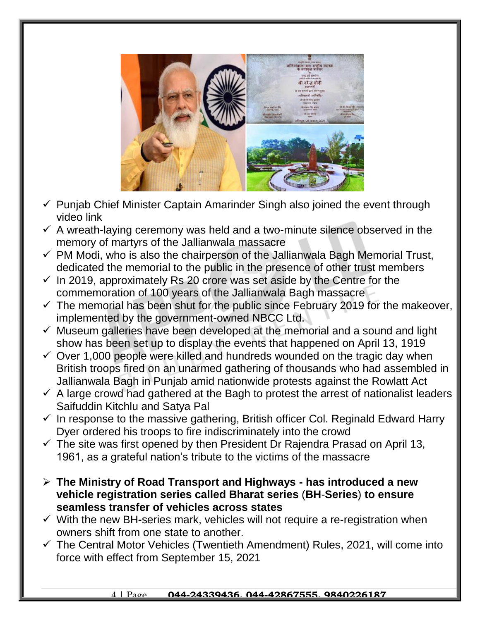

- $\checkmark$  Punjab Chief Minister Captain Amarinder Singh also joined the event through video link
- $\checkmark$  A wreath-laying ceremony was held and a two-minute silence observed in the memory of martyrs of the Jallianwala massacre
- $\checkmark$  PM Modi, who is also the chairperson of the Jallianwala Bagh Memorial Trust, dedicated the memorial to the public in the presence of other trust members
- $\checkmark$  In 2019, approximately Rs 20 crore was set aside by the Centre for the commemoration of 100 years of the Jallianwala Bagh massacre
- $\checkmark$  The memorial has been shut for the public since February 2019 for the makeover, implemented by the government-owned NBCC Ltd.
- $\checkmark$  Museum galleries have been developed at the memorial and a sound and light show has been set up to display the events that happened on April 13, 1919
- $\checkmark$  Over 1,000 people were killed and hundreds wounded on the tragic day when British troops fired on an unarmed gathering of thousands who had assembled in Jallianwala Bagh in Punjab amid nationwide protests against the Rowlatt Act
- $\checkmark$  A large crowd had gathered at the Bagh to protest the arrest of nationalist leaders Saifuddin Kitchlu and Satya Pal
- $\checkmark$  In response to the massive gathering, British officer Col. Reginald Edward Harry Dyer ordered his troops to fire indiscriminately into the crowd
- $\checkmark$  The site was first opened by then President Dr Rajendra Prasad on April 13, 1961, as a grateful nation's tribute to the victims of the massacre
- **The Ministry of Road Transport and Highways - has introduced a new vehicle registration series called Bharat series** (**BH***-***Series**) **to ensure seamless transfer of vehicles across states**
- With the new BH*-*series mark, vehicles will not require a re-registration when owners shift from one state to another.
- $\checkmark$  The Central Motor Vehicles (Twentieth Amendment) Rules, 2021, will come into force with effect from September 15, 2021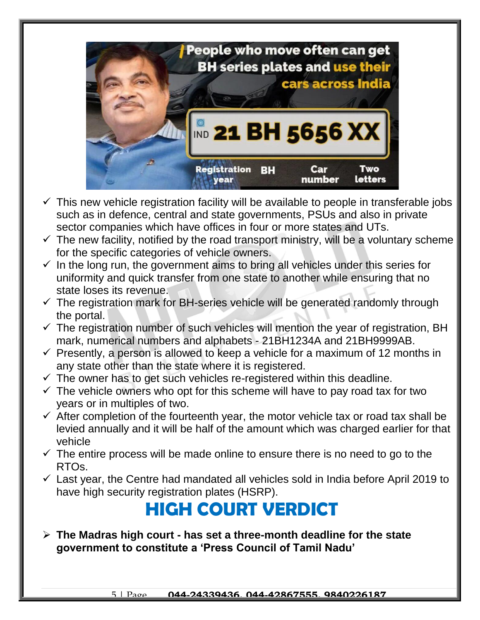

- $\checkmark$  This new vehicle registration facility will be available to people in transferable jobs such as in defence, central and state governments, PSUs and also in private sector companies which have offices in four or more states and UTs.
- $\checkmark$  The new facility, notified by the road transport ministry, will be a voluntary scheme for the specific categories of vehicle owners.
- $\checkmark$  In the long run, the government aims to bring all vehicles under this series for uniformity and quick transfer from one state to another while ensuring that no state loses its revenue.
- $\checkmark$  The registration mark for BH-series vehicle will be generated randomly through the portal.
- $\checkmark$  The registration number of such vehicles will mention the year of registration, BH mark, numerical numbers and alphabets - 21BH1234A and 21BH9999AB.
- $\checkmark$  Presently, a person is allowed to keep a vehicle for a maximum of 12 months in any state other than the state where it is registered.
- $\checkmark$  The owner has to get such vehicles re-registered within this deadline.
- $\checkmark$  The vehicle owners who opt for this scheme will have to pay road tax for two years or in multiples of two.
- $\checkmark$  After completion of the fourteenth year, the motor vehicle tax or road tax shall be levied annually and it will be half of the amount which was charged earlier for that vehicle
- $\checkmark$  The entire process will be made online to ensure there is no need to go to the RTOs.
- $\checkmark$  Last year, the Centre had mandated all vehicles sold in India before April 2019 to have high security registration plates (HSRP).

### **HIGH COURT VERDICT**

 **The Madras high court - has set a three-month deadline for the state government to constitute a 'Press Council of Tamil Nadu'**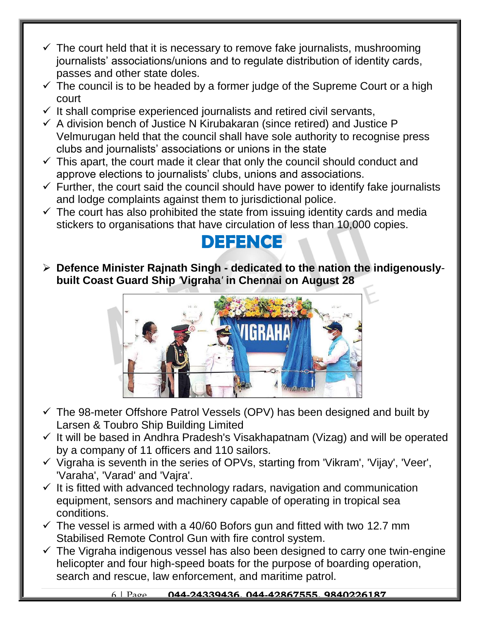- $\checkmark$  The court held that it is necessary to remove fake journalists, mushrooming journalists' associations/unions and to regulate distribution of identity cards, passes and other state doles.
- $\checkmark$  The council is to be headed by a former judge of the Supreme Court or a high court
- $\checkmark$  It shall comprise experienced journalists and retired civil servants,
- $\checkmark$  A division bench of Justice N Kirubakaran (since retired) and Justice P Velmurugan held that the council shall have sole authority to recognise press clubs and journalists' associations or unions in the state
- $\checkmark$  This apart, the court made it clear that only the council should conduct and approve elections to journalists' clubs, unions and associations.
- $\checkmark$  Further, the court said the council should have power to identify fake journalists and lodge complaints against them to jurisdictional police.
- $\checkmark$  The court has also prohibited the state from issuing identity cards and media stickers to organisations that have circulation of less than 10,000 copies.

#### **DEFENCE**

 **Defence Minister Rajnath Singh - dedicated to the nation the indigenously****built Coast Guard Ship** *'***Vigraha***'* **in Chennai on August 28**



- $\checkmark$  The 98-meter Offshore Patrol Vessels (OPV) has been designed and built by Larsen & Toubro Ship Building Limited
- $\checkmark$  It will be based in Andhra Pradesh's Visakhapatnam (Vizag) and will be operated by a company of 11 officers and 110 sailors.
- $\checkmark$  Vigraha is seventh in the series of OPVs, starting from 'Vikram', 'Vijay', 'Veer', 'Varaha', 'Varad' and 'Vajra'.
- $\checkmark$  It is fitted with advanced technology radars, navigation and communication equipment, sensors and machinery capable of operating in tropical sea conditions.
- $\checkmark$  The vessel is armed with a 40/60 Bofors gun and fitted with two 12.7 mm Stabilised Remote Control Gun with fire control system.
- $\checkmark$  The Vigraha indigenous vessel has also been designed to carry one twin-engine helicopter and four high-speed boats for the purpose of boarding operation, search and rescue, law enforcement, and maritime patrol.